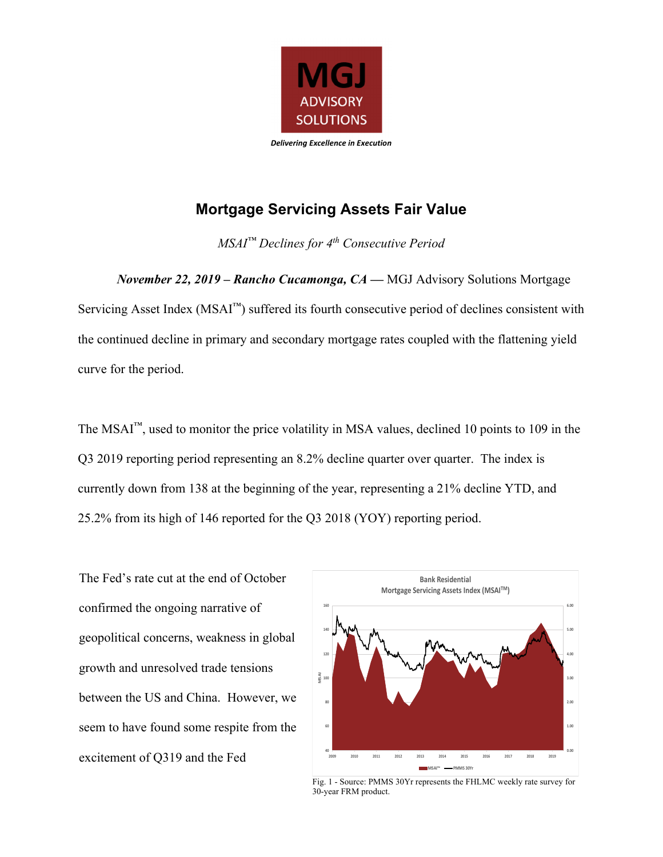

## **Mortgage Servicing Assets Fair Value**

*MSAI™ Declines for 4th Consecutive Period* 

*November 22, 2019 – Rancho Cucamonga, CA —* MGJ Advisory Solutions Mortgage Servicing Asset Index ( $MSAI<sup>TM</sup>$ ) suffered its fourth consecutive period of declines consistent with the continued decline in primary and secondary mortgage rates coupled with the flattening yield curve for the period.

The MSAI<sup>™</sup>, used to monitor the price volatility in MSA values, declined 10 points to 109 in the Q3 2019 reporting period representing an 8.2% decline quarter over quarter. The index is currently down from 138 at the beginning of the year, representing a 21% decline YTD, and 25.2% from its high of 146 reported for the Q3 2018 (YOY) reporting period.

The Fed's rate cut at the end of October confirmed the ongoing narrative of geopolitical concerns, weakness in global growth and unresolved trade tensions between the US and China. However, we seem to have found some respite from the excitement of Q319 and the Fed



Fig. 1 - Source: PMMS 30Yr represents the FHLMC weekly rate survey for 30-year FRM product.